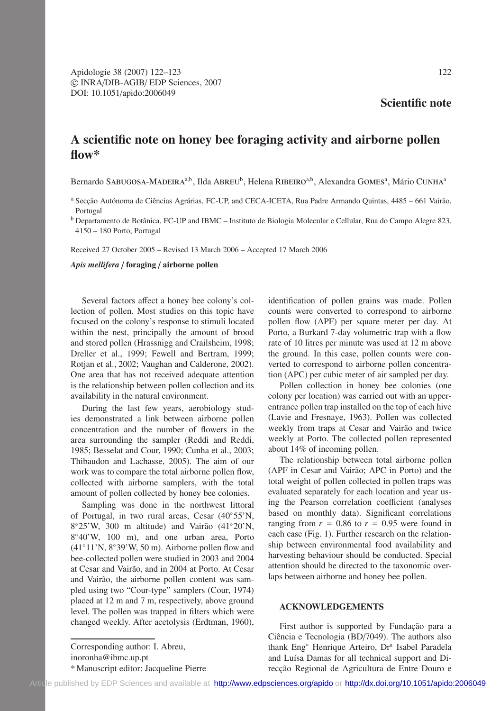## **Scientific note**

## **A scientific note on honey bee foraging activity and airborne pollen flow\***

Bernardo SABUGOSA-MADEIRA<sup>a,b</sup>, Ilda ABREU<sup>b</sup>, Helena RIBEIRO<sup>a,b</sup>, Alexandra GOMES<sup>a</sup>, Mário CUNHA<sup>a</sup>

<sup>b</sup> Departamento de Botânica, FC-UP and IBMC – Instituto de Biologia Molecular e Cellular, Rua do Campo Alegre 823, 4150 – 180 Porto, Portugal

Received 27 October 2005 – Revised 13 March 2006 – Accepted 17 March 2006

*Apis mellifera* / **foraging** / **airborne pollen**

Several factors affect a honey bee colony's collection of pollen. Most studies on this topic have focused on the colony's response to stimuli located within the nest, principally the amount of brood and stored pollen (Hrassnigg and Crailsheim, 1998; Dreller et al., 1999; Fewell and Bertram, 1999; Rotjan et al., 2002; Vaughan and Calderone, 2002). One area that has not received adequate attention is the relationship between pollen collection and its availability in the natural environment.

During the last few years, aerobiology studies demonstrated a link between airborne pollen concentration and the number of flowers in the area surrounding the sampler (Reddi and Reddi, 1985; Besselat and Cour, 1990; Cunha et al., 2003; Thibaudon and Lachasse, 2005). The aim of our work was to compare the total airborne pollen flow, collected with airborne samplers, with the total amount of pollen collected by honey bee colonies.

Sampling was done in the northwest littoral of Portugal, in two rural areas, Cesar (40◦55'N, 8◦25'W, 300 m altitude) and Vairão (41◦20'N, 8◦40'W, 100 m), and one urban area, Porto (41◦11'N, 8◦39'W, 50 m). Airborne pollen flow and bee-collected pollen were studied in 2003 and 2004 at Cesar and Vairão, and in 2004 at Porto. At Cesar and Vairão, the airborne pollen content was sampled using two "Cour-type" samplers (Cour, 1974) placed at 12 m and 7 m, respectively, above ground level. The pollen was trapped in filters which were changed weekly. After acetolysis (Erdtman, 1960),

Corresponding author: I. Abreu, inoronha@ibmc.up.pt \* Manuscript editor: Jacqueline Pierre identification of pollen grains was made. Pollen counts were converted to correspond to airborne pollen flow (APF) per square meter per day. At Porto, a Burkard 7-day volumetric trap with a flow rate of 10 litres per minute was used at 12 m above the ground. In this case, pollen counts were converted to correspond to airborne pollen concentration (APC) per cubic meter of air sampled per day.

Pollen collection in honey bee colonies (one colony per location) was carried out with an upperentrance pollen trap installed on the top of each hive (Lavie and Fresnaye, 1963). Pollen was collected weekly from traps at Cesar and Vairão and twice weekly at Porto. The collected pollen represented about 14% of incoming pollen.

The relationship between total airborne pollen (APF in Cesar and Vairão; APC in Porto) and the total weight of pollen collected in pollen traps was evaluated separately for each location and year using the Pearson correlation coefficient (analyses based on monthly data). Significant correlations ranging from  $r = 0.86$  to  $r = 0.95$  were found in each case (Fig. 1). Further research on the relationship between environmental food availability and harvesting behaviour should be conducted. Special attention should be directed to the taxonomic overlaps between airborne and honey bee pollen.

## **ACKNOWLEDGEMENTS**

First author is supported by Fundação para a Ciência e Tecnologia (BD/7049). The authors also thank Eng<sup>°</sup> Henrique Arteiro, Dr<sup>a</sup> Isabel Paradela and Luísa Damas for all technical support and Direcção Regional de Agricultura de Entre Douro e

<sup>a</sup> Secção Autónoma de Ciências Agrárias, FC-UP, and CECA-ICETA, Rua Padre Armando Quintas, 4485 – 661 Vairão, Portugal